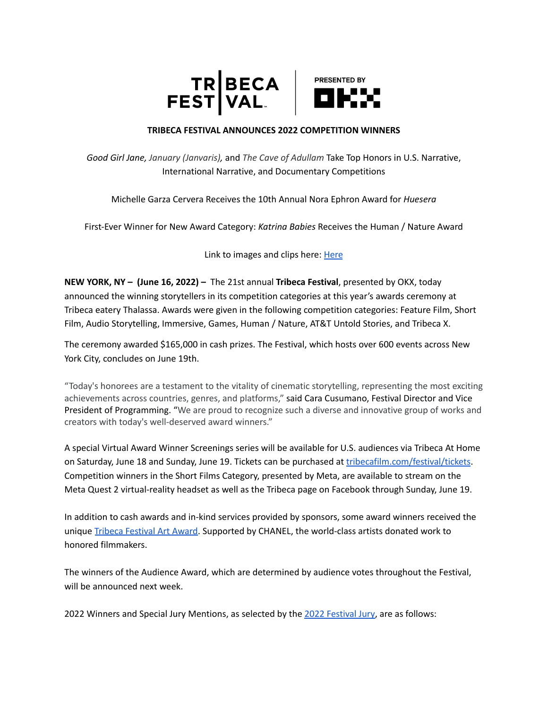



### **TRIBECA FESTIVAL ANNOUNCES 2022 COMPETITION WINNERS**

*Good Girl Jane, January (Janvaris),* and *The Cave of Adullam* Take Top Honors in U.S. Narrative, International Narrative, and Documentary Competitions

Michelle Garza Cervera Receives the 10th Annual Nora Ephron Award for *Huesera*

First-Ever Winner for New Award Category: *Katrina Babies* Receives the Human / Nature Award

Link to images and clips here: [Here](https://tribeca1.box.com/s/kcbx031ybxhm80zdkog6bz322d9te8ox)

**NEW YORK, NY – (June 16, 2022) –** The 21st annual **Tribeca Festival**, presented by OKX, today announced the winning storytellers in its competition categories at this year's awards ceremony at Tribeca eatery Thalassa. Awards were given in the following competition categories: Feature Film, Short Film, Audio Storytelling, Immersive, Games, Human / Nature, AT&T Untold Stories, and Tribeca X.

The ceremony awarded \$165,000 in cash prizes. The Festival, which hosts over 600 events across New York City, concludes on June 19th.

"Today's honorees are a testament to the vitality of cinematic storytelling, representing the most exciting achievements across countries, genres, and platforms," said Cara Cusumano, Festival Director and Vice President of Programming. "We are proud to recognize such a diverse and innovative group of works and creators with today's well-deserved award winners."

A special Virtual Award Winner Screenings series will be available for U.S. audiences via Tribeca At Home on Saturday, June 18 and Sunday, June 19. Tickets can be purchased at [tribecafilm.com/festival/tickets](https://tribecafilm.com/festival/tickets). Competition winners in the Short Films Category, presented by Meta, are available to stream on the Meta Quest 2 virtual-reality headset as well as the Tribeca page on Facebook through Sunday, June 19.

In addition to cash awards and in-kind services provided by sponsors, some award winners received the unique Tribeca [Festival](https://tribecafilm.com/press-center/festival/press-releases/tribeca-festival-and-chanel-unveil-the-2022-artist-awards-program-participants) Art Award. Supported by CHANEL, the world-class artists donated work to honored filmmakers.

The winners of the Audience Award, which are determined by audience votes throughout the Festival, will be announced next week.

2022 Winners and Special Jury Mentions, as selected by the 2022 [Festival](https://tribecafilm.com/festival/jurors2022) Jury, are as follows: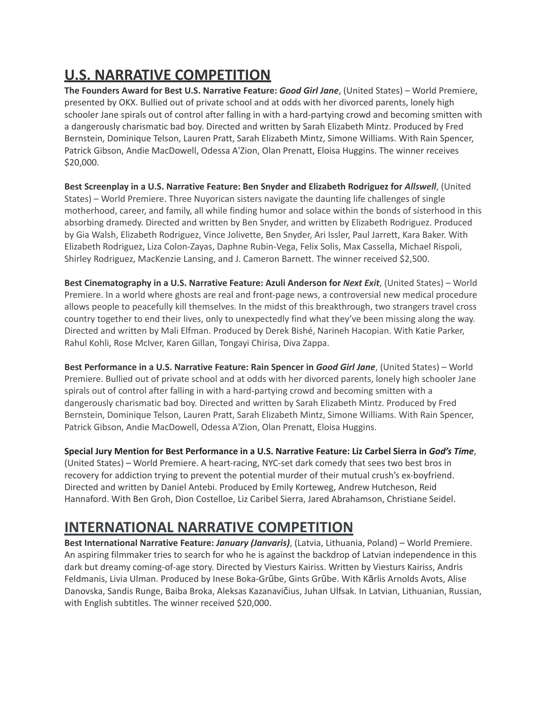# **U.S. NARRATIVE COMPETITION**

**The Founders Award for Best U.S. Narrative Feature:** *Good Girl Jane*, (United States) – World Premiere, presented by OKX. Bullied out of private school and at odds with her divorced parents, lonely high schooler Jane spirals out of control after falling in with a hard-partying crowd and becoming smitten with a dangerously charismatic bad boy. Directed and written by Sarah Elizabeth Mintz. Produced by Fred Bernstein, Dominique Telson, Lauren Pratt, Sarah Elizabeth Mintz, Simone Williams. With Rain Spencer, Patrick Gibson, Andie MacDowell, Odessa A'Zion, Olan Prenatt, Eloisa Huggins. The winner receives \$20,000.

**Best Screenplay in a U.S. Narrative Feature: Ben Snyder and Elizabeth Rodriguez for** *Allswell*, (United States) – World Premiere. Three Nuyorican sisters navigate the daunting life challenges of single motherhood, career, and family, all while finding humor and solace within the bonds of sisterhood in this absorbing dramedy. Directed and written by Ben Snyder, and written by Elizabeth Rodriguez. Produced by Gia Walsh, Elizabeth Rodriguez, Vince Jolivette, Ben Snyder, Ari Issler, Paul Jarrett, Kara Baker. With Elizabeth Rodriguez, Liza Colon-Zayas, Daphne Rubin-Vega, Felix Solis, Max Cassella, Michael Rispoli, Shirley Rodriguez, MacKenzie Lansing, and J. Cameron Barnett. The winner received \$2,500.

**Best Cinematography in a U.S. Narrative Feature: Azuli Anderson for** *Next Exit*, (United States) – World Premiere. In a world where ghosts are real and front-page news, a controversial new medical procedure allows people to peacefully kill themselves. In the midst of this breakthrough, two strangers travel cross country together to end their lives, only to unexpectedly find what they've been missing along the way. Directed and written by Mali Elfman. Produced by Derek Bishé, Narineh Hacopian. With Katie Parker, Rahul Kohli, Rose McIver, Karen Gillan, Tongayi Chirisa, Diva Zappa.

**Best Performance in a U.S. Narrative Feature: Rain Spencer in** *Good Girl Jane*, (United States) – World Premiere. Bullied out of private school and at odds with her divorced parents, lonely high schooler Jane spirals out of control after falling in with a hard-partying crowd and becoming smitten with a dangerously charismatic bad boy. Directed and written by Sarah Elizabeth Mintz. Produced by Fred Bernstein, Dominique Telson, Lauren Pratt, Sarah Elizabeth Mintz, Simone Williams. With Rain Spencer, Patrick Gibson, Andie MacDowell, Odessa A'Zion, Olan Prenatt, Eloisa Huggins.

**Special Jury Mention for Best Performance in a U.S. Narrative Feature: Liz Carbel Sierra in** *God's Time*, (United States) – World Premiere. A heart-racing, NYC-set dark comedy that sees two best bros in recovery for addiction trying to prevent the potential murder of their mutual crush's ex-boyfriend. Directed and written by Daniel Antebi. Produced by Emily Korteweg, Andrew Hutcheson, Reid Hannaford. With Ben Groh, Dion Costelloe, Liz Caribel Sierra, Jared Abrahamson, Christiane Seidel.

## **INTERNATIONAL NARRATIVE COMPETITION**

**Best International Narrative Feature:** *January (Janvaris)*, (Latvia, Lithuania, Poland) – World Premiere. An aspiring filmmaker tries to search for who he is against the backdrop of Latvian independence in this dark but dreamy coming-of-age story. Directed by Viesturs Kairiss. Written by Viesturs Kairiss, Andris Feldmanis, Livia Ulman. Produced by Inese Boka-Grūbe, Gints Grūbe. With Kārlis Arnolds Avots, Alise Danovska, Sandis Runge, Baiba Broka, Aleksas Kazanavičius, Juhan Ulfsak. In Latvian, Lithuanian, Russian, with English subtitles. The winner received \$20,000.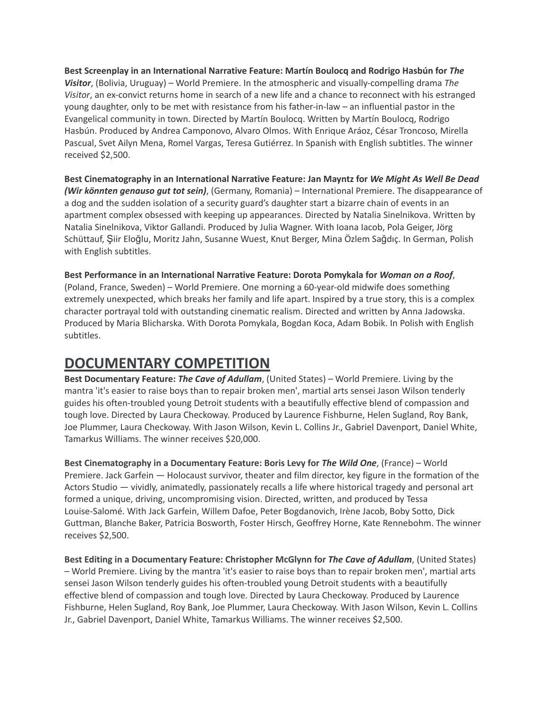**Best Screenplay in an International Narrative Feature: Martín Boulocq and Rodrigo Hasbún for** *The Visitor*, (Bolivia, Uruguay) – World Premiere. In the atmospheric and visually-compelling drama *The Visitor*, an ex-convict returns home in search of a new life and a chance to reconnect with his estranged young daughter, only to be met with resistance from his father-in-law – an influential pastor in the Evangelical community in town. Directed by Martín Boulocq. Written by Martín Boulocq, Rodrigo Hasbún. Produced by Andrea Camponovo, Alvaro Olmos. With Enrique Aráoz, César Troncoso, Mirella Pascual, Svet Ailyn Mena, Romel Vargas, Teresa Gutiérrez. In Spanish with English subtitles. The winner received \$2,500.

**Best Cinematography in an International Narrative Feature: Jan Mayntz for** *We Might As Well Be Dead (Wir könnten genauso gut tot sein)*, (Germany, Romania) – International Premiere. The disappearance of a dog and the sudden isolation of a security guard's daughter start a bizarre chain of events in an apartment complex obsessed with keeping up appearances. Directed by Natalia Sinelnikova. Written by Natalia Sinelnikova, Viktor Gallandi. Produced by Julia Wagner. With Ioana Iacob, Pola Geiger, Jörg Schüttauf, Şiir Eloğlu, Moritz Jahn, Susanne Wuest, Knut Berger, Mina Özlem Sağdıç. In German, Polish with English subtitles.

**Best Performance in an International Narrative Feature: Dorota Pomykala for** *Woman on a Roof*, (Poland, France, Sweden) – World Premiere. One morning a 60-year-old midwife does something extremely unexpected, which breaks her family and life apart. Inspired by a true story, this is a complex character portrayal told with outstanding cinematic realism. Directed and written by Anna Jadowska. Produced by Maria Blicharska. With Dorota Pomykala, Bogdan Koca, Adam Bobik. In Polish with English subtitles.

### **DOCUMENTARY COMPETITION**

**Best Documentary Feature:** *The Cave of Adullam*, (United States) – World Premiere. Living by the mantra 'it's easier to raise boys than to repair broken men', martial arts sensei Jason Wilson tenderly guides his often-troubled young Detroit students with a beautifully effective blend of compassion and tough love. Directed by Laura Checkoway. Produced by Laurence Fishburne, Helen Sugland, Roy Bank, Joe Plummer, Laura Checkoway. With Jason Wilson, Kevin L. Collins Jr., Gabriel Davenport, Daniel White, Tamarkus Williams. The winner receives \$20,000.

**Best Cinematography in a Documentary Feature: Boris Levy for** *The Wild One*, (France) – World Premiere. Jack Garfein — Holocaust survivor, theater and film director, key figure in the formation of the Actors Studio — vividly, animatedly, passionately recalls a life where historical tragedy and personal art formed a unique, driving, uncompromising vision. Directed, written, and produced by Tessa Louise-Salomé. With Jack Garfein, Willem Dafoe, Peter Bogdanovich, Irène Jacob, Boby Sotto, Dick Guttman, Blanche Baker, Patricia Bosworth, Foster Hirsch, Geoffrey Horne, Kate Rennebohm. The winner receives \$2,500.

**Best Editing in a Documentary Feature: Christopher McGlynn for** *The Cave of Adullam*, (United States) – World Premiere. Living by the mantra 'it's easier to raise boys than to repair broken men', martial arts sensei Jason Wilson tenderly guides his often-troubled young Detroit students with a beautifully effective blend of compassion and tough love. Directed by Laura Checkoway. Produced by Laurence Fishburne, Helen Sugland, Roy Bank, Joe Plummer, Laura Checkoway. With Jason Wilson, Kevin L. Collins Jr., Gabriel Davenport, Daniel White, Tamarkus Williams. The winner receives \$2,500.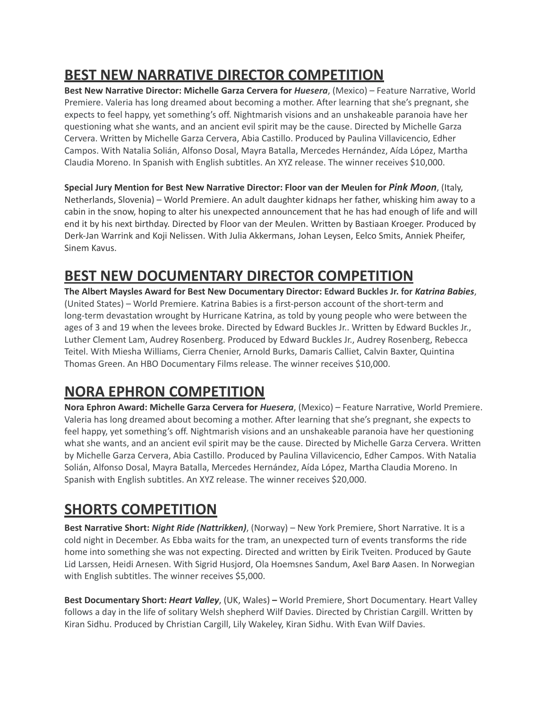# **BEST NEW NARRATIVE DIRECTOR COMPETITION**

**Best New Narrative Director: Michelle Garza Cervera for** *Huesera*, (Mexico) – Feature Narrative, World Premiere. Valeria has long dreamed about becoming a mother. After learning that she's pregnant, she expects to feel happy, yet something's off. Nightmarish visions and an unshakeable paranoia have her questioning what she wants, and an ancient evil spirit may be the cause. Directed by Michelle Garza Cervera. Written by Michelle Garza Cervera, Abia Castillo. Produced by Paulina Villavicencio, Edher Campos. With Natalia Solián, Alfonso Dosal, Mayra Batalla, Mercedes Hernández, Aída López, Martha Claudia Moreno. In Spanish with English subtitles. An XYZ release. The winner receives \$10,000.

**Special Jury Mention for Best New Narrative Director: Floor van der Meulen for** *Pink Moon*, (Italy, Netherlands, Slovenia) – World Premiere. An adult daughter kidnaps her father, whisking him away to a cabin in the snow, hoping to alter his unexpected announcement that he has had enough of life and will end it by his next birthday. Directed by Floor van der Meulen. Written by Bastiaan Kroeger. Produced by Derk-Jan Warrink and Koji Nelissen. With Julia Akkermans, Johan Leysen, Eelco Smits, Anniek Pheifer, Sinem Kavus.

# **BEST NEW DOCUMENTARY DIRECTOR COMPETITION**

**The Albert Maysles Award for Best New Documentary Director: Edward Buckles Jr. for** *Katrina Babies*, (United States) – World Premiere. Katrina Babies is a first-person account of the short-term and long-term devastation wrought by Hurricane Katrina, as told by young people who were between the ages of 3 and 19 when the levees broke. Directed by Edward Buckles Jr.. Written by Edward Buckles Jr., Luther Clement Lam, Audrey Rosenberg. Produced by Edward Buckles Jr., Audrey Rosenberg, Rebecca Teitel. With Miesha Williams, Cierra Chenier, Arnold Burks, Damaris Calliet, Calvin Baxter, Quintina Thomas Green. An HBO Documentary Films release. The winner receives \$10,000.

# **NORA EPHRON COMPETITION**

**Nora Ephron Award: Michelle Garza Cervera for** *Huesera*, (Mexico) – Feature Narrative, World Premiere. Valeria has long dreamed about becoming a mother. After learning that she's pregnant, she expects to feel happy, yet something's off. Nightmarish visions and an unshakeable paranoia have her questioning what she wants, and an ancient evil spirit may be the cause. Directed by Michelle Garza Cervera. Written by Michelle Garza Cervera, Abia Castillo. Produced by Paulina Villavicencio, Edher Campos. With Natalia Solián, Alfonso Dosal, Mayra Batalla, Mercedes Hernández, Aída López, Martha Claudia Moreno. In Spanish with English subtitles. An XYZ release. The winner receives \$20,000.

### **SHORTS COMPETITION**

**Best Narrative Short:** *Night Ride (Nattrikken)*, (Norway) – New York Premiere, Short Narrative. It is a cold night in December. As Ebba waits for the tram, an unexpected turn of events transforms the ride home into something she was not expecting. Directed and written by Eirik Tveiten. Produced by Gaute Lid Larssen, Heidi Arnesen. With Sigrid Husjord, Ola Hoemsnes Sandum, Axel Barø Aasen. In Norwegian with English subtitles. The winner receives \$5,000.

**Best Documentary Short:** *Heart Valley*, (UK, Wales) **–** World Premiere, Short Documentary. Heart Valley follows a day in the life of solitary Welsh shepherd Wilf Davies. Directed by Christian Cargill. Written by Kiran Sidhu. Produced by Christian Cargill, Lily Wakeley, Kiran Sidhu. With Evan Wilf Davies.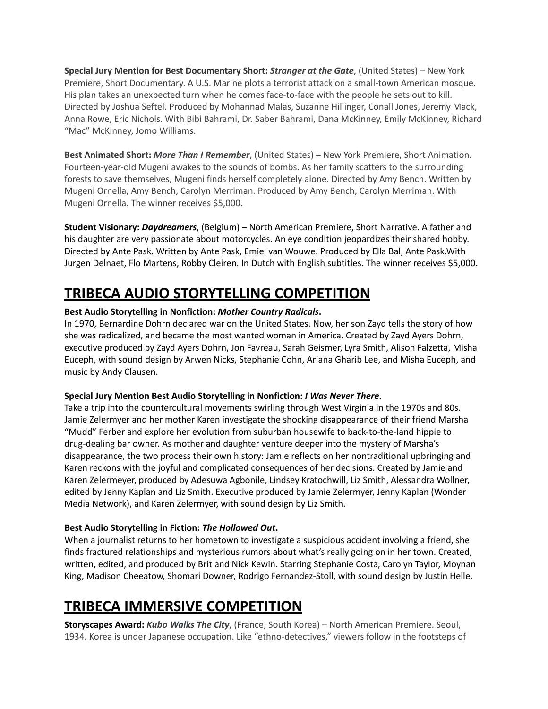**Special Jury Mention for Best Documentary Short:** *Stranger at the Gate*, (United States) – New York Premiere, Short Documentary. A U.S. Marine plots a terrorist attack on a small-town American mosque. His plan takes an unexpected turn when he comes face-to-face with the people he sets out to kill. Directed by Joshua Seftel. Produced by Mohannad Malas, Suzanne Hillinger, Conall Jones, Jeremy Mack, Anna Rowe, Eric Nichols. With Bibi Bahrami, Dr. Saber Bahrami, Dana McKinney, Emily McKinney, Richard "Mac" McKinney, Jomo Williams.

**Best Animated Short:** *More Than I Remember*, (United States) – New York Premiere, Short Animation. Fourteen-year-old Mugeni awakes to the sounds of bombs. As her family scatters to the surrounding forests to save themselves, Mugeni finds herself completely alone. Directed by Amy Bench. Written by Mugeni Ornella, Amy Bench, Carolyn Merriman. Produced by Amy Bench, Carolyn Merriman. With Mugeni Ornella. The winner receives \$5,000.

**Student Visionary:** *Daydreamers*, (Belgium) – North American Premiere, Short Narrative. A father and his daughter are very passionate about motorcycles. An eye condition jeopardizes their shared hobby. Directed by Ante Pask. Written by Ante Pask, Emiel van Wouwe. Produced by Ella Bal, Ante Pask.With Jurgen Delnaet, Flo Martens, Robby Cleiren. In Dutch with English subtitles. The winner receives \$5,000.

## **TRIBECA AUDIO STORYTELLING COMPETITION**

### **Best Audio Storytelling in Nonfiction:** *Mother Country Radicals***.**

In 1970, Bernardine Dohrn declared war on the United States. Now, her son Zayd tells the story of how she was radicalized, and became the most wanted woman in America. Created by Zayd Ayers Dohrn, executive produced by Zayd Ayers Dohrn, Jon Favreau, Sarah Geismer, Lyra Smith, Alison Falzetta, Misha Euceph, with sound design by Arwen Nicks, Stephanie Cohn, Ariana Gharib Lee, and Misha Euceph, and music by Andy Clausen.

### **Special Jury Mention Best Audio Storytelling in Nonfiction:** *I Was Never There***.**

Take a trip into the countercultural movements swirling through West Virginia in the 1970s and 80s. Jamie Zelermyer and her mother Karen investigate the shocking disappearance of their friend Marsha "Mudd" Ferber and explore her evolution from suburban housewife to back-to-the-land hippie to drug-dealing bar owner. As mother and daughter venture deeper into the mystery of Marsha's disappearance, the two process their own history: Jamie reflects on her nontraditional upbringing and Karen reckons with the joyful and complicated consequences of her decisions. Created by Jamie and Karen Zelermeyer, produced by Adesuwa Agbonile, Lindsey Kratochwill, Liz Smith, Alessandra Wollner, edited by Jenny Kaplan and Liz Smith. Executive produced by Jamie Zelermyer, Jenny Kaplan (Wonder Media Network), and Karen Zelermyer, with sound design by Liz Smith.

### **Best Audio Storytelling in Fiction:** *The Hollowed Out***.**

When a journalist returns to her hometown to investigate a suspicious accident involving a friend, she finds fractured relationships and mysterious rumors about what's really going on in her town. Created, written, edited, and produced by Brit and Nick Kewin. Starring Stephanie Costa, Carolyn Taylor, Moynan King, Madison Cheeatow, Shomari Downer, Rodrigo Fernandez-Stoll, with sound design by Justin Helle.

### **TRIBECA IMMERSIVE COMPETITION**

**Storyscapes Award:** *Kubo Walks The City*, (France, South Korea) – North American Premiere. Seoul, 1934. Korea is under Japanese occupation. Like "ethno-detectives," viewers follow in the footsteps of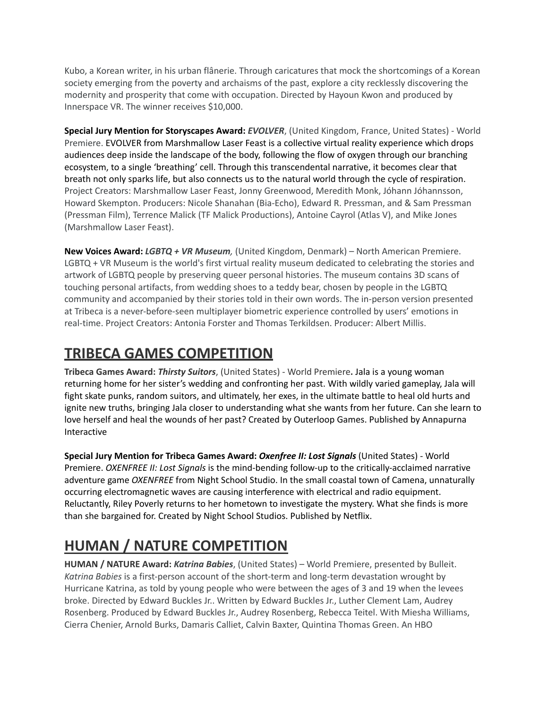Kubo, a Korean writer, in his urban flânerie. Through caricatures that mock the shortcomings of a Korean society emerging from the poverty and archaisms of the past, explore a city recklessly discovering the modernity and prosperity that come with occupation. Directed by Hayoun Kwon and produced by Innerspace VR. The winner receives \$10,000.

**Special Jury Mention for Storyscapes Award:** *EVOLVER*, (United Kingdom, France, United States) - World Premiere. EVOLVER from Marshmallow Laser Feast is a collective virtual reality experience which drops audiences deep inside the landscape of the body, following the flow of oxygen through our branching ecosystem, to a single 'breathing' cell. Through this transcendental narrative, it becomes clear that breath not only sparks life, but also connects us to the natural world through the cycle of respiration. Project Creators: Marshmallow Laser Feast, Jonny Greenwood, Meredith Monk, Jóhann Jóhannsson, Howard Skempton. Producers: Nicole Shanahan (Bia-Echo), Edward R. Pressman, and & Sam Pressman (Pressman Film), Terrence Malick (TF Malick Productions), Antoine Cayrol (Atlas V), and Mike Jones (Marshmallow Laser Feast).

**New Voices Award:** *LGBTQ + VR Museum,* (United Kingdom, Denmark) – North American Premiere. LGBTQ + VR Museum is the world's first virtual reality museum dedicated to celebrating the stories and artwork of LGBTQ people by preserving queer personal histories. The museum contains 3D scans of touching personal artifacts, from wedding shoes to a teddy bear, chosen by people in the LGBTQ community and accompanied by their stories told in their own words. The in-person version presented at Tribeca is a never-before-seen multiplayer biometric experience controlled by users' emotions in real-time. Project Creators: Antonia Forster and Thomas Terkildsen. Producer: Albert Millis.

## **TRIBECA GAMES COMPETITION**

**Tribeca Games Award:** *Thirsty Suitors*, (United States) - World Premiere**.** Jala is a young woman returning home for her sister's wedding and confronting her past. With wildly varied gameplay, Jala will fight skate punks, random suitors, and ultimately, her exes, in the ultimate battle to heal old hurts and ignite new truths, bringing Jala closer to understanding what she wants from her future. Can she learn to love herself and heal the wounds of her past? Created by Outerloop Games. Published by Annapurna Interactive

**Special Jury Mention for Tribeca Games Award:** *Oxenfree II: Lost Signals* (United States) - World Premiere. *OXENFREE II: Lost Signals* is the mind-bending follow-up to the critically-acclaimed narrative adventure game *OXENFREE* from Night School Studio. In the small coastal town of Camena, unnaturally occurring electromagnetic waves are causing interference with electrical and radio equipment. Reluctantly, Riley Poverly returns to her hometown to investigate the mystery. What she finds is more than she bargained for. Created by Night School Studios. Published by Netflix.

# **HUMAN / NATURE COMPETITION**

**HUMAN / NATURE Award:** *Katrina Babies*, (United States) – World Premiere, presented by Bulleit. *Katrina Babies* is a first-person account of the short-term and long-term devastation wrought by Hurricane Katrina, as told by young people who were between the ages of 3 and 19 when the levees broke. Directed by Edward Buckles Jr.. Written by Edward Buckles Jr., Luther Clement Lam, Audrey Rosenberg. Produced by Edward Buckles Jr., Audrey Rosenberg, Rebecca Teitel. With Miesha Williams, Cierra Chenier, Arnold Burks, Damaris Calliet, Calvin Baxter, Quintina Thomas Green. An HBO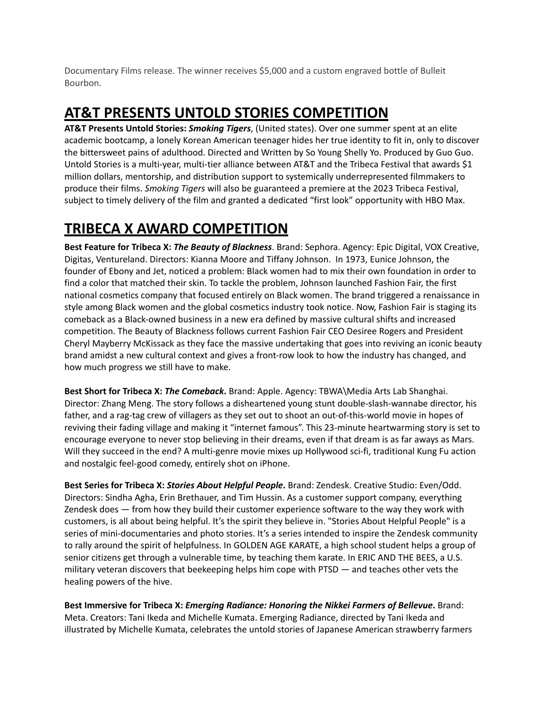Documentary Films release. The winner receives \$5,000 and a custom engraved bottle of Bulleit Bourbon.

## **AT&T PRESENTS UNTOLD STORIES COMPETITION**

**AT&T Presents Untold Stories:** *Smoking Tigers*, (United states). Over one summer spent at an elite academic bootcamp, a lonely Korean American teenager hides her true identity to fit in, only to discover the bittersweet pains of adulthood. Directed and Written by So Young Shelly Yo. Produced by Guo Guo. Untold Stories is a multi-year, multi-tier alliance between AT&T and the Tribeca Festival that awards \$1 million dollars, mentorship, and distribution support to systemically underrepresented filmmakers to produce their films. *Smoking Tigers* will also be guaranteed a premiere at the 2023 Tribeca Festival, subject to timely delivery of the film and granted a dedicated "first look" opportunity with HBO Max.

## **TRIBECA X AWARD COMPETITION**

**Best Feature for Tribeca X:** *The Beauty of Blackness*. Brand: Sephora. Agency: Epic Digital, VOX Creative, Digitas, Ventureland. Directors: Kianna Moore and Tiffany Johnson. In 1973, Eunice Johnson, the founder of Ebony and Jet, noticed a problem: Black women had to mix their own foundation in order to find a color that matched their skin. To tackle the problem, Johnson launched Fashion Fair, the first national cosmetics company that focused entirely on Black women. The brand triggered a renaissance in style among Black women and the global cosmetics industry took notice. Now, Fashion Fair is staging its comeback as a Black-owned business in a new era defined by massive cultural shifts and increased competition. The Beauty of Blackness follows current Fashion Fair CEO Desiree Rogers and President Cheryl Mayberry McKissack as they face the massive undertaking that goes into reviving an iconic beauty brand amidst a new cultural context and gives a front-row look to how the industry has changed, and how much progress we still have to make.

**Best Short for Tribeca X:** *The Comeback***.** Brand: Apple. Agency: TBWA\Media Arts Lab Shanghai. Director: Zhang Meng. The story follows a disheartened young stunt double-slash-wannabe director, his father, and a rag-tag crew of villagers as they set out to shoot an out-of-this-world movie in hopes of reviving their fading village and making it "internet famous". This 23-minute heartwarming story is set to encourage everyone to never stop believing in their dreams, even if that dream is as far aways as Mars. Will they succeed in the end? A multi-genre movie mixes up Hollywood sci-fi, traditional Kung Fu action and nostalgic feel-good comedy, entirely shot on iPhone.

**Best Series for Tribeca X:** *Stories About Helpful People***.** Brand: Zendesk. Creative Studio: Even/Odd. Directors: Sindha Agha, Erin Brethauer, and Tim Hussin. As a customer support company, everything Zendesk does — from how they build their customer experience software to the way they work with customers, is all about being helpful. It's the spirit they believe in. "Stories About Helpful People" is a series of mini-documentaries and photo stories. It's a series intended to inspire the Zendesk community to rally around the spirit of helpfulness. In GOLDEN AGE KARATE, a high school student helps a group of senior citizens get through a vulnerable time, by teaching them karate. In ERIC AND THE BEES, a U.S. military veteran discovers that beekeeping helps him cope with PTSD — and teaches other vets the healing powers of the hive.

**Best Immersive for Tribeca X:** *Emerging Radiance: Honoring the Nikkei Farmers of Bellevue***.** Brand: Meta. Creators: Tani Ikeda and Michelle Kumata. Emerging Radiance, directed by Tani Ikeda and illustrated by Michelle Kumata, celebrates the untold stories of Japanese American strawberry farmers